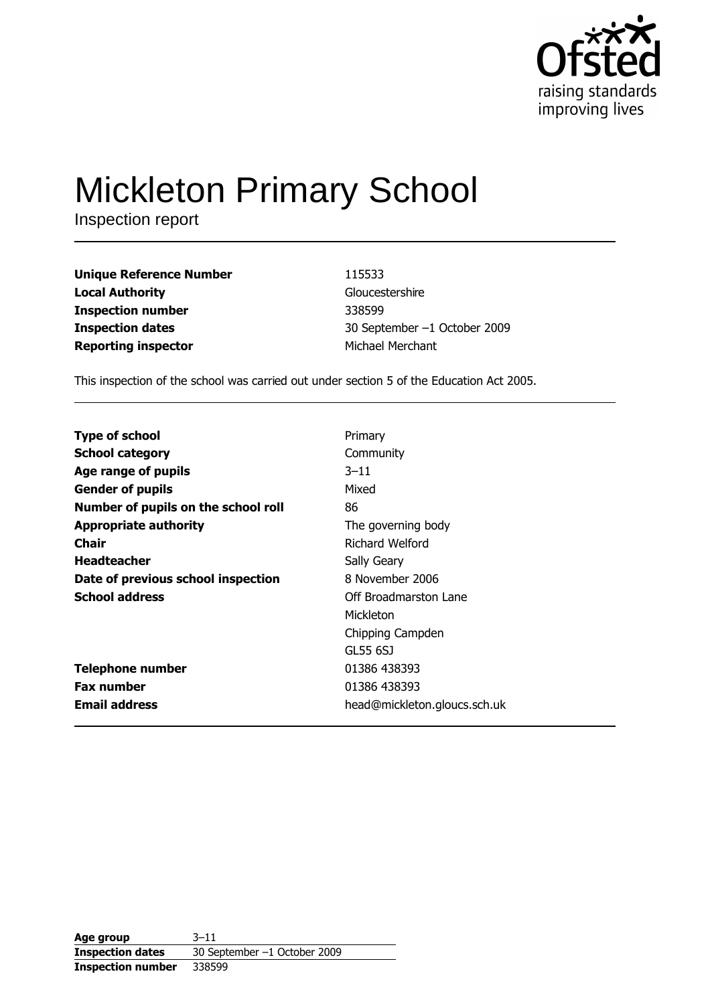

# **Mickleton Primary School**

Inspection report

**Unique Reference Number Local Authority Inspection number Inspection dates Reporting inspector** 

115533 Gloucestershire 338599 30 September -1 October 2009 Michael Merchant

This inspection of the school was carried out under section 5 of the Education Act 2005.

| <b>Type of school</b>               | Primary                      |
|-------------------------------------|------------------------------|
| <b>School category</b>              | Community                    |
| Age range of pupils                 | $3 - 11$                     |
| <b>Gender of pupils</b>             | Mixed                        |
| Number of pupils on the school roll | 86                           |
| <b>Appropriate authority</b>        | The governing body           |
| Chair                               | Richard Welford              |
| <b>Headteacher</b>                  | Sally Geary                  |
| Date of previous school inspection  | 8 November 2006              |
| <b>School address</b>               | Off Broadmarston Lane        |
|                                     | Mickleton                    |
|                                     | Chipping Campden             |
|                                     | GL55 6SJ                     |
| <b>Telephone number</b>             | 01386 438393                 |
| <b>Fax number</b>                   | 01386 438393                 |
| <b>Email address</b>                | head@mickleton.gloucs.sch.uk |

Age group  $3 - 11$ **Inspection dates** 30 September -1 October 2009 **Inspection number** 338599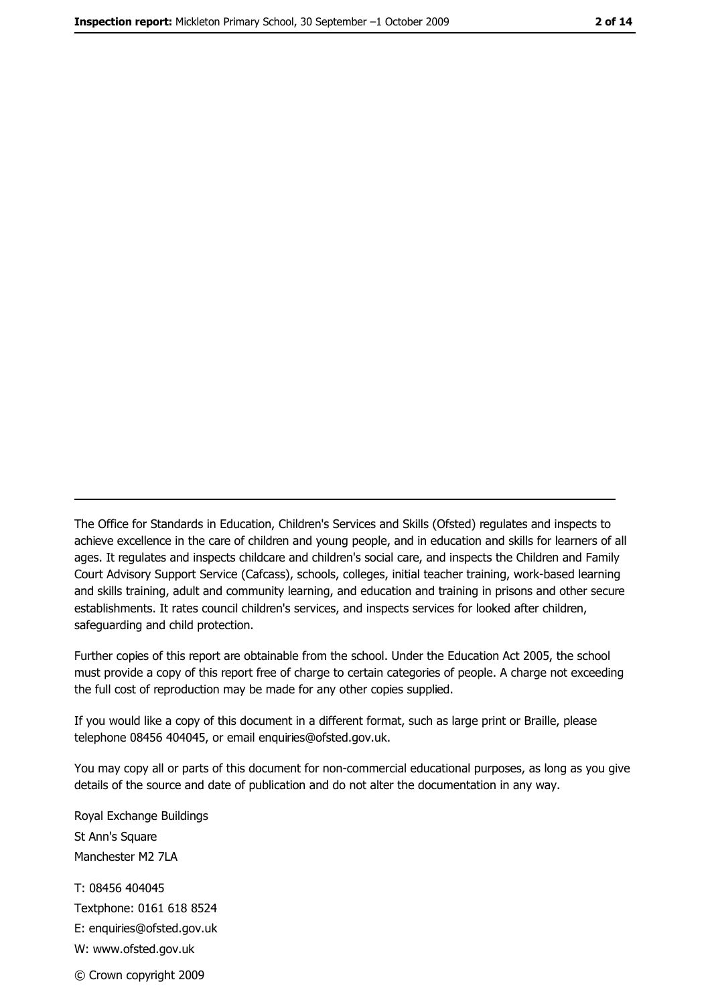The Office for Standards in Education, Children's Services and Skills (Ofsted) regulates and inspects to achieve excellence in the care of children and young people, and in education and skills for learners of all ages. It regulates and inspects childcare and children's social care, and inspects the Children and Family Court Advisory Support Service (Cafcass), schools, colleges, initial teacher training, work-based learning and skills training, adult and community learning, and education and training in prisons and other secure establishments. It rates council children's services, and inspects services for looked after children, safequarding and child protection.

Further copies of this report are obtainable from the school. Under the Education Act 2005, the school must provide a copy of this report free of charge to certain categories of people. A charge not exceeding the full cost of reproduction may be made for any other copies supplied.

If you would like a copy of this document in a different format, such as large print or Braille, please telephone 08456 404045, or email enquiries@ofsted.gov.uk.

You may copy all or parts of this document for non-commercial educational purposes, as long as you give details of the source and date of publication and do not alter the documentation in any way.

Royal Exchange Buildings St Ann's Square Manchester M2 7LA T: 08456 404045 Textphone: 0161 618 8524 E: enquiries@ofsted.gov.uk W: www.ofsted.gov.uk © Crown copyright 2009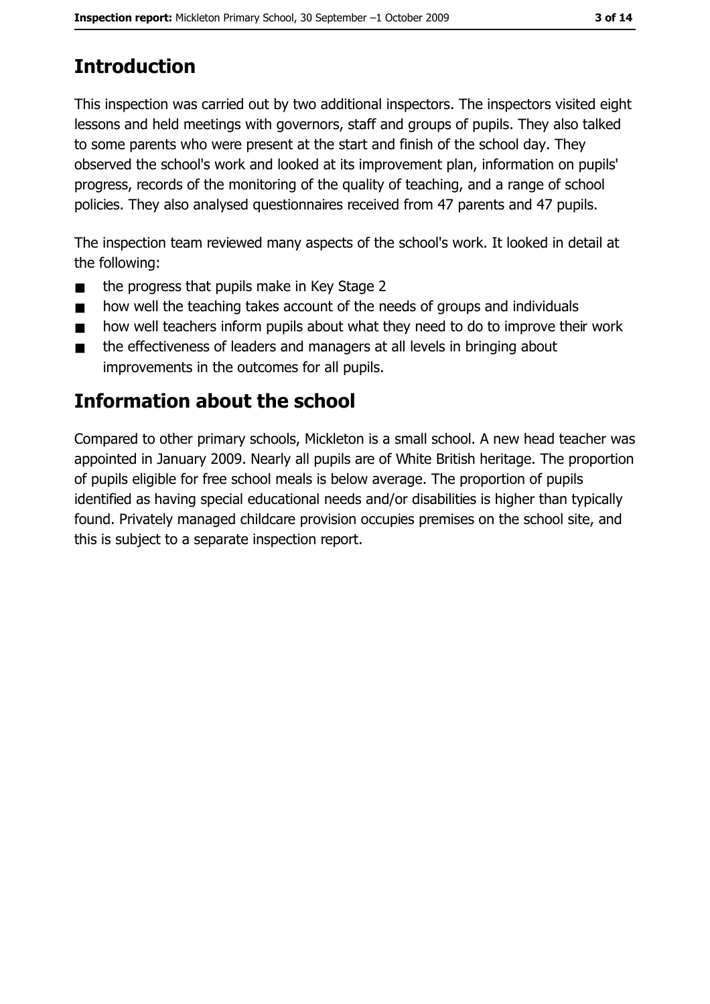# **Introduction**

This inspection was carried out by two additional inspectors. The inspectors visited eight lessons and held meetings with governors, staff and groups of pupils. They also talked to some parents who were present at the start and finish of the school day. They observed the school's work and looked at its improvement plan, information on pupils' progress, records of the monitoring of the quality of teaching, and a range of school policies. They also analysed questionnaires received from 47 parents and 47 pupils.

The inspection team reviewed many aspects of the school's work. It looked in detail at the following:

- the progress that pupils make in Key Stage 2  $\blacksquare$
- how well the teaching takes account of the needs of groups and individuals  $\blacksquare$
- how well teachers inform pupils about what they need to do to improve their work  $\blacksquare$
- the effectiveness of leaders and managers at all levels in bringing about  $\blacksquare$ improvements in the outcomes for all pupils.

## Information about the school

Compared to other primary schools, Mickleton is a small school. A new head teacher was appointed in January 2009. Nearly all pupils are of White British heritage. The proportion of pupils eligible for free school meals is below average. The proportion of pupils identified as having special educational needs and/or disabilities is higher than typically found. Privately managed childcare provision occupies premises on the school site, and this is subject to a separate inspection report.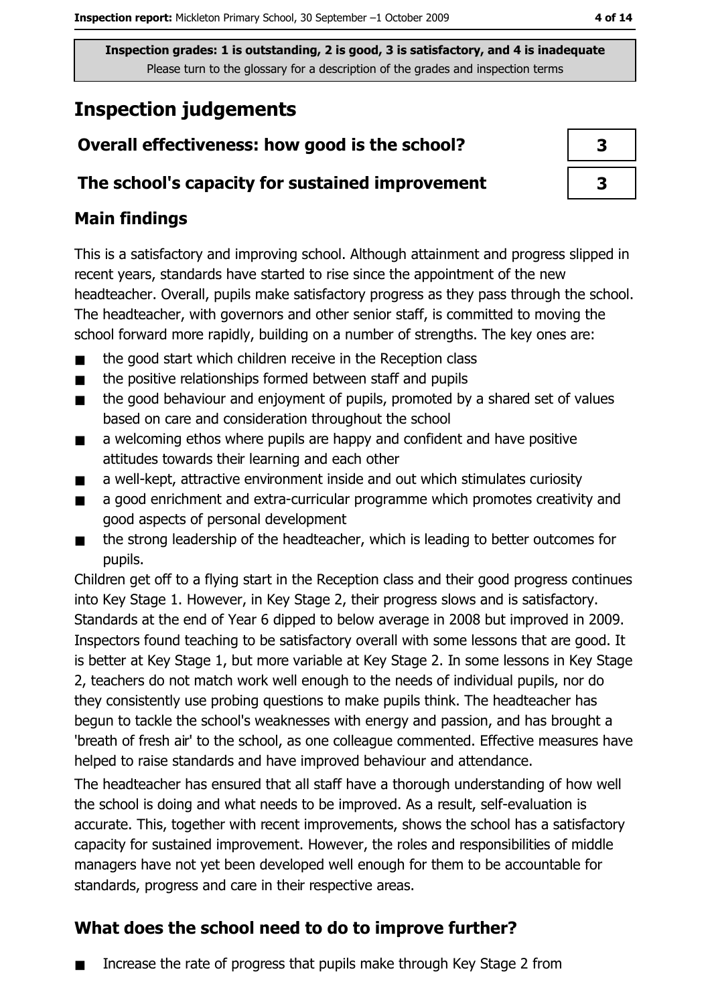## **Inspection judgements**

## Overall effectiveness: how good is the school?

#### The school's capacity for sustained improvement

## **Main findings**

This is a satisfactory and improving school. Although attainment and progress slipped in recent years, standards have started to rise since the appointment of the new headteacher. Overall, pupils make satisfactory progress as they pass through the school. The headteacher, with governors and other senior staff, is committed to moving the school forward more rapidly, building on a number of strengths. The key ones are:

- the good start which children receive in the Reception class  $\blacksquare$
- the positive relationships formed between staff and pupils  $\blacksquare$
- $\blacksquare$ the good behaviour and enjoyment of pupils, promoted by a shared set of values based on care and consideration throughout the school
- a welcoming ethos where pupils are happy and confident and have positive  $\blacksquare$ attitudes towards their learning and each other
- a well-kept, attractive environment inside and out which stimulates curiosity  $\blacksquare$
- a good enrichment and extra-curricular programme which promotes creativity and  $\blacksquare$ good aspects of personal development
- $\blacksquare$ the strong leadership of the headteacher, which is leading to better outcomes for pupils.

Children get off to a flying start in the Reception class and their good progress continues into Key Stage 1. However, in Key Stage 2, their progress slows and is satisfactory. Standards at the end of Year 6 dipped to below average in 2008 but improved in 2009. Inspectors found teaching to be satisfactory overall with some lessons that are good. It is better at Key Stage 1, but more variable at Key Stage 2. In some lessons in Key Stage 2, teachers do not match work well enough to the needs of individual pupils, nor do they consistently use probing questions to make pupils think. The headteacher has begun to tackle the school's weaknesses with energy and passion, and has brought a 'breath of fresh air' to the school, as one colleague commented. Effective measures have helped to raise standards and have improved behaviour and attendance.

The headteacher has ensured that all staff have a thorough understanding of how well the school is doing and what needs to be improved. As a result, self-evaluation is accurate. This, together with recent improvements, shows the school has a satisfactory capacity for sustained improvement. However, the roles and responsibilities of middle managers have not yet been developed well enough for them to be accountable for standards, progress and care in their respective areas.

## What does the school need to do to improve further?

Increase the rate of progress that pupils make through Key Stage 2 from  $\blacksquare$ 

| 3 |  |
|---|--|
| 3 |  |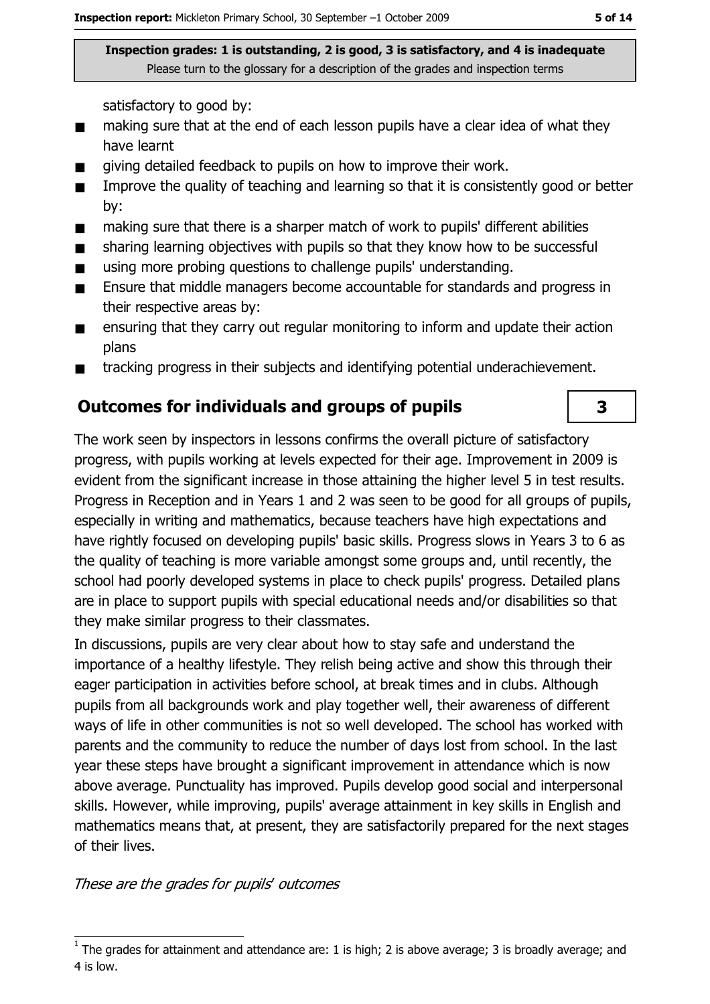satisfactory to good by:

- making sure that at the end of each lesson pupils have a clear idea of what they  $\blacksquare$ have learnt
- giving detailed feedback to pupils on how to improve their work.  $\blacksquare$
- Improve the quality of teaching and learning so that it is consistently good or better  $\blacksquare$ bv:
- making sure that there is a sharper match of work to pupils' different abilities  $\blacksquare$
- sharing learning objectives with pupils so that they know how to be successful  $\blacksquare$
- using more probing questions to challenge pupils' understanding.  $\blacksquare$
- Ensure that middle managers become accountable for standards and progress in  $\blacksquare$ their respective areas by:
- ensuring that they carry out regular monitoring to inform and update their action  $\blacksquare$ plans
- tracking progress in their subjects and identifying potential underachievement.  $\blacksquare$

#### **Outcomes for individuals and groups of pupils**

The work seen by inspectors in lessons confirms the overall picture of satisfactory progress, with pupils working at levels expected for their age. Improvement in 2009 is evident from the significant increase in those attaining the higher level 5 in test results. Progress in Reception and in Years 1 and 2 was seen to be good for all groups of pupils, especially in writing and mathematics, because teachers have high expectations and have rightly focused on developing pupils' basic skills. Progress slows in Years 3 to 6 as the quality of teaching is more variable amongst some groups and, until recently, the school had poorly developed systems in place to check pupils' progress. Detailed plans are in place to support pupils with special educational needs and/or disabilities so that they make similar progress to their classmates.

In discussions, pupils are very clear about how to stay safe and understand the importance of a healthy lifestyle. They relish being active and show this through their eager participation in activities before school, at break times and in clubs. Although pupils from all backgrounds work and play together well, their awareness of different ways of life in other communities is not so well developed. The school has worked with parents and the community to reduce the number of days lost from school. In the last year these steps have brought a significant improvement in attendance which is now above average. Punctuality has improved. Pupils develop good social and interpersonal skills. However, while improving, pupils' average attainment in key skills in English and mathematics means that, at present, they are satisfactorily prepared for the next stages of their lives.

These are the grades for pupils' outcomes

3

The grades for attainment and attendance are: 1 is high; 2 is above average; 3 is broadly average; and 4 is low.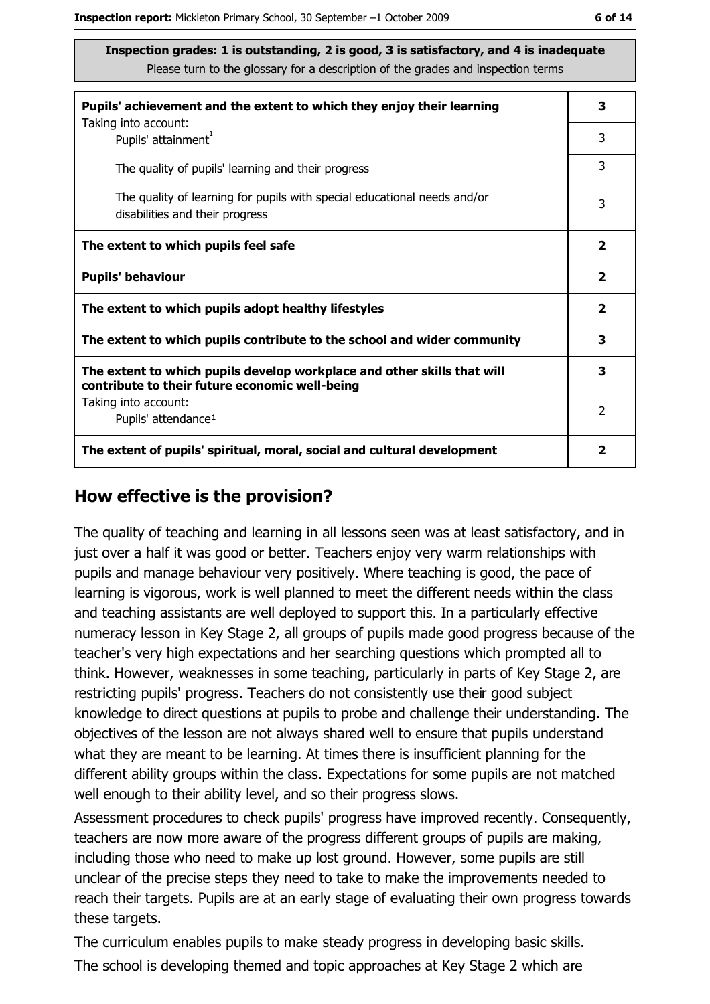| Pupils' achievement and the extent to which they enjoy their learning                                                     |               |
|---------------------------------------------------------------------------------------------------------------------------|---------------|
| Taking into account:<br>Pupils' attainment <sup>1</sup>                                                                   | 3             |
| The quality of pupils' learning and their progress                                                                        | 3             |
| The quality of learning for pupils with special educational needs and/or<br>disabilities and their progress               | 3             |
| The extent to which pupils feel safe                                                                                      |               |
| <b>Pupils' behaviour</b>                                                                                                  |               |
| The extent to which pupils adopt healthy lifestyles                                                                       |               |
| The extent to which pupils contribute to the school and wider community                                                   |               |
| The extent to which pupils develop workplace and other skills that will<br>contribute to their future economic well-being | 3             |
| Taking into account:<br>Pupils' attendance <sup>1</sup>                                                                   | $\mathcal{P}$ |
| The extent of pupils' spiritual, moral, social and cultural development                                                   |               |

#### How effective is the provision?

The quality of teaching and learning in all lessons seen was at least satisfactory, and in just over a half it was good or better. Teachers enjoy very warm relationships with pupils and manage behaviour very positively. Where teaching is good, the pace of learning is vigorous, work is well planned to meet the different needs within the class and teaching assistants are well deployed to support this. In a particularly effective numeracy lesson in Key Stage 2, all groups of pupils made good progress because of the teacher's very high expectations and her searching questions which prompted all to think. However, weaknesses in some teaching, particularly in parts of Key Stage 2, are restricting pupils' progress. Teachers do not consistently use their good subject knowledge to direct questions at pupils to probe and challenge their understanding. The objectives of the lesson are not always shared well to ensure that pupils understand what they are meant to be learning. At times there is insufficient planning for the different ability groups within the class. Expectations for some pupils are not matched well enough to their ability level, and so their progress slows.

Assessment procedures to check pupils' progress have improved recently. Consequently, teachers are now more aware of the progress different groups of pupils are making, including those who need to make up lost ground. However, some pupils are still unclear of the precise steps they need to take to make the improvements needed to reach their targets. Pupils are at an early stage of evaluating their own progress towards these targets.

The curriculum enables pupils to make steady progress in developing basic skills. The school is developing themed and topic approaches at Key Stage 2 which are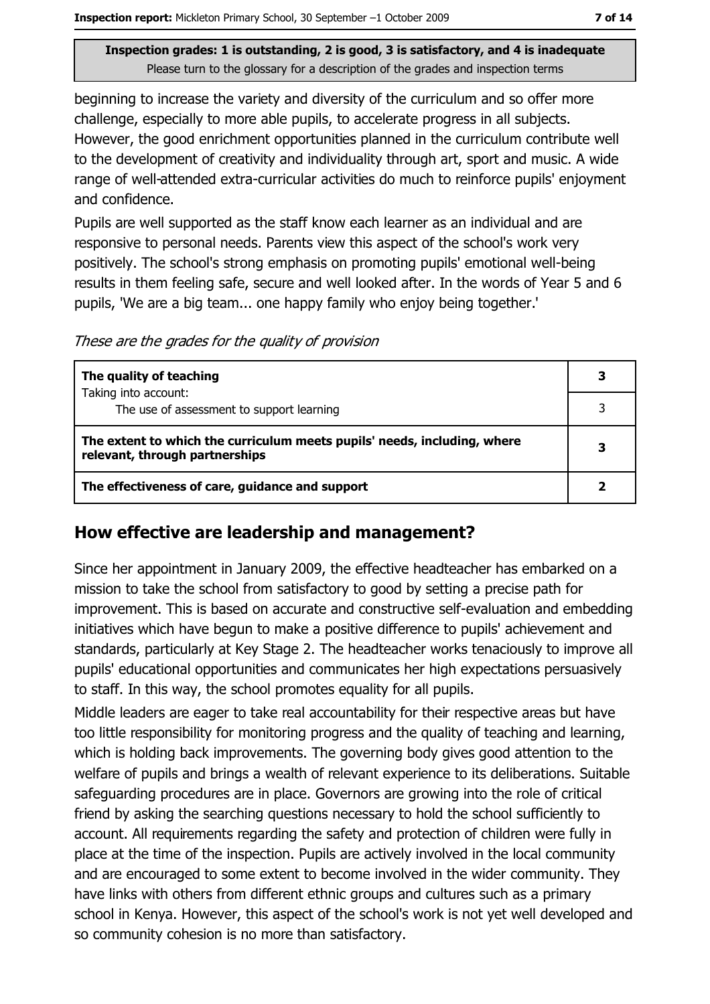beginning to increase the variety and diversity of the curriculum and so offer more challenge, especially to more able pupils, to accelerate progress in all subjects. However, the good enrichment opportunities planned in the curriculum contribute well to the development of creativity and individuality through art, sport and music. A wide range of well-attended extra-curricular activities do much to reinforce pupils' enjoyment and confidence.

Pupils are well supported as the staff know each learner as an individual and are responsive to personal needs. Parents view this aspect of the school's work very positively. The school's strong emphasis on promoting pupils' emotional well-being results in them feeling safe, secure and well looked after. In the words of Year 5 and 6 pupils, 'We are a big team... one happy family who enjoy being together.'

These are the grades for the quality of provision

| The quality of teaching                                                                                    | 3 |
|------------------------------------------------------------------------------------------------------------|---|
| Taking into account:<br>The use of assessment to support learning                                          |   |
| The extent to which the curriculum meets pupils' needs, including, where<br>relevant, through partnerships |   |
| The effectiveness of care, guidance and support                                                            |   |

#### How effective are leadership and management?

Since her appointment in January 2009, the effective headteacher has embarked on a mission to take the school from satisfactory to good by setting a precise path for improvement. This is based on accurate and constructive self-evaluation and embedding initiatives which have begun to make a positive difference to pupils' achievement and standards, particularly at Key Stage 2. The headteacher works tenaciously to improve all pupils' educational opportunities and communicates her high expectations persuasively to staff. In this way, the school promotes equality for all pupils.

Middle leaders are eager to take real accountability for their respective areas but have too little responsibility for monitoring progress and the quality of teaching and learning, which is holding back improvements. The governing body gives good attention to the welfare of pupils and brings a wealth of relevant experience to its deliberations. Suitable safeguarding procedures are in place. Governors are growing into the role of critical friend by asking the searching questions necessary to hold the school sufficiently to account. All requirements regarding the safety and protection of children were fully in place at the time of the inspection. Pupils are actively involved in the local community and are encouraged to some extent to become involved in the wider community. They have links with others from different ethnic groups and cultures such as a primary school in Kenya. However, this aspect of the school's work is not yet well developed and so community cohesion is no more than satisfactory.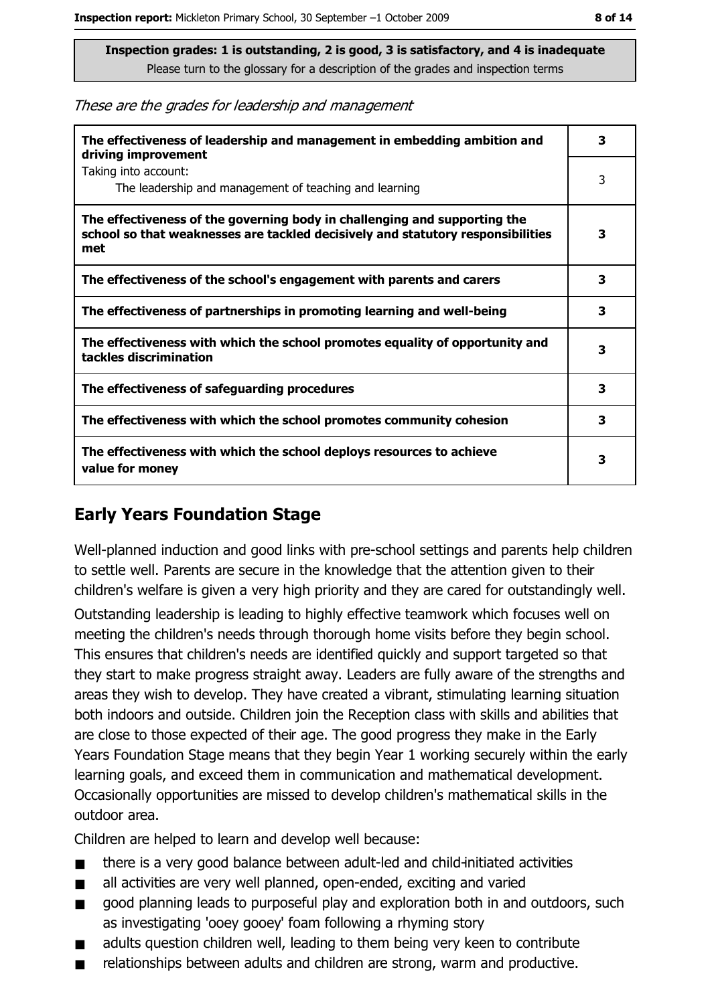These are the grades for leadership and management

| The effectiveness of leadership and management in embedding ambition and<br>driving improvement                                                                     |   |
|---------------------------------------------------------------------------------------------------------------------------------------------------------------------|---|
| Taking into account:<br>The leadership and management of teaching and learning                                                                                      | 3 |
| The effectiveness of the governing body in challenging and supporting the<br>school so that weaknesses are tackled decisively and statutory responsibilities<br>met | 3 |
| The effectiveness of the school's engagement with parents and carers                                                                                                | 3 |
| The effectiveness of partnerships in promoting learning and well-being                                                                                              | з |
| The effectiveness with which the school promotes equality of opportunity and<br>tackles discrimination                                                              | з |
| The effectiveness of safeguarding procedures                                                                                                                        | 3 |
| The effectiveness with which the school promotes community cohesion                                                                                                 | 3 |
| The effectiveness with which the school deploys resources to achieve<br>value for money                                                                             | з |

## **Early Years Foundation Stage**

Well-planned induction and good links with pre-school settings and parents help children to settle well. Parents are secure in the knowledge that the attention given to their children's welfare is given a very high priority and they are cared for outstandingly well.

Outstanding leadership is leading to highly effective teamwork which focuses well on meeting the children's needs through thorough home visits before they begin school. This ensures that children's needs are identified quickly and support targeted so that they start to make progress straight away. Leaders are fully aware of the strengths and areas they wish to develop. They have created a vibrant, stimulating learning situation both indoors and outside. Children join the Reception class with skills and abilities that are close to those expected of their age. The good progress they make in the Early Years Foundation Stage means that they begin Year 1 working securely within the early learning goals, and exceed them in communication and mathematical development. Occasionally opportunities are missed to develop children's mathematical skills in the outdoor area.

Children are helped to learn and develop well because:

- there is a very good balance between adult-led and child-initiated activities  $\blacksquare$
- all activities are very well planned, open-ended, exciting and varied  $\blacksquare$
- good planning leads to purposeful play and exploration both in and outdoors, such  $\blacksquare$ as investigating 'ooey gooey' foam following a rhyming story
- adults question children well, leading to them being very keen to contribute  $\blacksquare$
- relationships between adults and children are strong, warm and productive. Ŧ.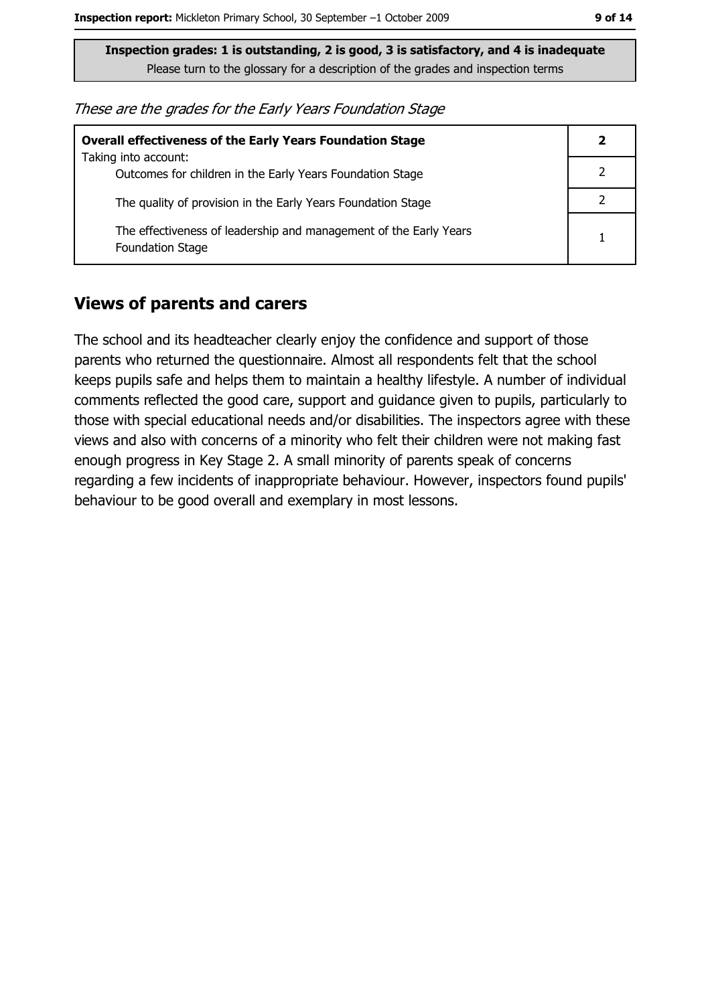| <b>Overall effectiveness of the Early Years Foundation Stage</b>                             |  |  |
|----------------------------------------------------------------------------------------------|--|--|
| Taking into account:<br>Outcomes for children in the Early Years Foundation Stage            |  |  |
| The quality of provision in the Early Years Foundation Stage                                 |  |  |
| The effectiveness of leadership and management of the Early Years<br><b>Foundation Stage</b> |  |  |

#### **Views of parents and carers**

The school and its headteacher clearly enjoy the confidence and support of those parents who returned the questionnaire. Almost all respondents felt that the school keeps pupils safe and helps them to maintain a healthy lifestyle. A number of individual comments reflected the good care, support and guidance given to pupils, particularly to those with special educational needs and/or disabilities. The inspectors agree with these views and also with concerns of a minority who felt their children were not making fast enough progress in Key Stage 2. A small minority of parents speak of concerns regarding a few incidents of inappropriate behaviour. However, inspectors found pupils' behaviour to be good overall and exemplary in most lessons.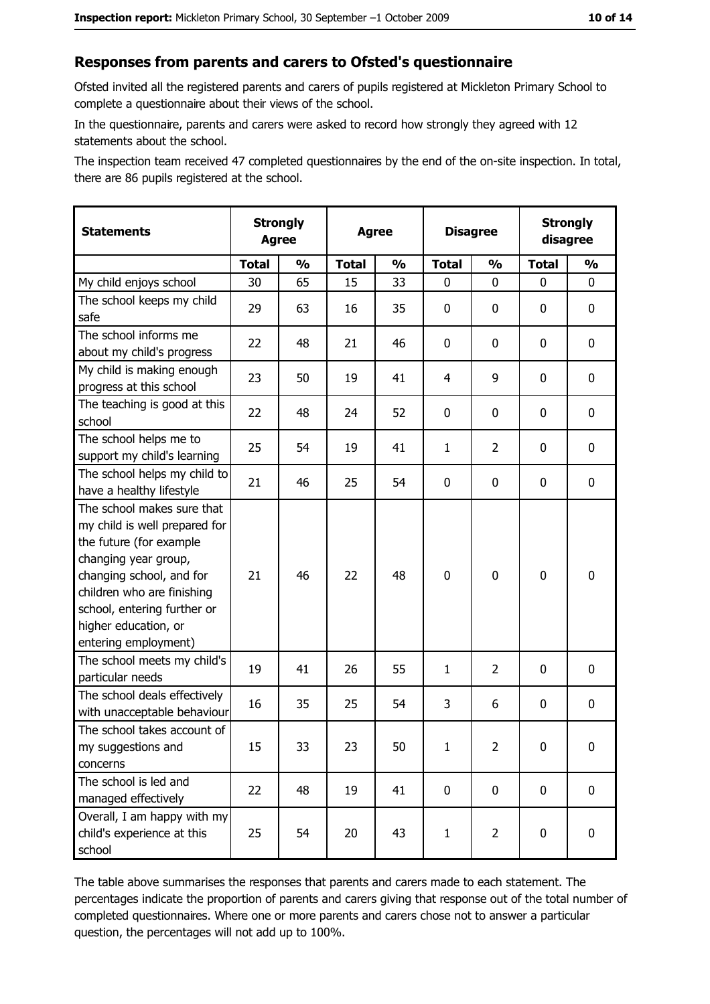#### Responses from parents and carers to Ofsted's questionnaire

Ofsted invited all the registered parents and carers of pupils registered at Mickleton Primary School to complete a questionnaire about their views of the school.

In the questionnaire, parents and carers were asked to record how strongly they agreed with 12 statements about the school.

The inspection team received 47 completed questionnaires by the end of the on-site inspection. In total, there are 86 pupils registered at the school.

| <b>Statements</b>                                                                                                                                                                                                                                       | <b>Strongly</b><br><b>Agree</b> |               | <b>Agree</b> |               | <b>Disagree</b> |                | <b>Strongly</b><br>disagree |               |
|---------------------------------------------------------------------------------------------------------------------------------------------------------------------------------------------------------------------------------------------------------|---------------------------------|---------------|--------------|---------------|-----------------|----------------|-----------------------------|---------------|
|                                                                                                                                                                                                                                                         | <b>Total</b>                    | $\frac{1}{2}$ | <b>Total</b> | $\frac{1}{2}$ | <b>Total</b>    | $\frac{0}{0}$  | <b>Total</b>                | $\frac{1}{2}$ |
| My child enjoys school                                                                                                                                                                                                                                  | 30                              | 65            | 15           | 33            | 0               | 0              | 0                           | 0             |
| The school keeps my child<br>safe                                                                                                                                                                                                                       | 29                              | 63            | 16           | 35            | $\mathbf 0$     | 0              | 0                           | $\mathbf 0$   |
| The school informs me<br>about my child's progress                                                                                                                                                                                                      | 22                              | 48            | 21           | 46            | 0               | 0              | $\mathbf{0}$                | 0             |
| My child is making enough<br>progress at this school                                                                                                                                                                                                    | 23                              | 50            | 19           | 41            | $\overline{4}$  | 9              | 0                           | 0             |
| The teaching is good at this<br>school                                                                                                                                                                                                                  | 22                              | 48            | 24           | 52            | 0               | 0              | 0                           | 0             |
| The school helps me to<br>support my child's learning                                                                                                                                                                                                   | 25                              | 54            | 19           | 41            | $\mathbf{1}$    | $\overline{2}$ | 0                           | $\mathbf 0$   |
| The school helps my child to<br>have a healthy lifestyle                                                                                                                                                                                                | 21                              | 46            | 25           | 54            | $\mathbf 0$     | 0              | 0                           | $\mathbf 0$   |
| The school makes sure that<br>my child is well prepared for<br>the future (for example<br>changing year group,<br>changing school, and for<br>children who are finishing<br>school, entering further or<br>higher education, or<br>entering employment) | 21                              | 46            | 22           | 48            | $\mathbf 0$     | 0              | $\mathbf 0$                 | $\mathbf 0$   |
| The school meets my child's<br>particular needs                                                                                                                                                                                                         | 19                              | 41            | 26           | 55            | $\mathbf{1}$    | 2              | 0                           | $\mathbf 0$   |
| The school deals effectively<br>with unacceptable behaviour                                                                                                                                                                                             | 16                              | 35            | 25           | 54            | 3               | 6              | 0                           | $\bf{0}$      |
| The school takes account of<br>my suggestions and<br>concerns                                                                                                                                                                                           | 15                              | 33            | 23           | 50            | $\mathbf{1}$    | $\overline{2}$ | 0                           | $\bf{0}$      |
| The school is led and<br>managed effectively                                                                                                                                                                                                            | 22                              | 48            | 19           | 41            | $\mathbf 0$     | $\mathbf 0$    | $\mathbf 0$                 | $\mathbf 0$   |
| Overall, I am happy with my<br>child's experience at this<br>school                                                                                                                                                                                     | 25                              | 54            | 20           | 43            | $\mathbf{1}$    | $\overline{2}$ | 0                           | $\mathbf 0$   |

The table above summarises the responses that parents and carers made to each statement. The percentages indicate the proportion of parents and carers giving that response out of the total number of completed questionnaires. Where one or more parents and carers chose not to answer a particular question, the percentages will not add up to 100%.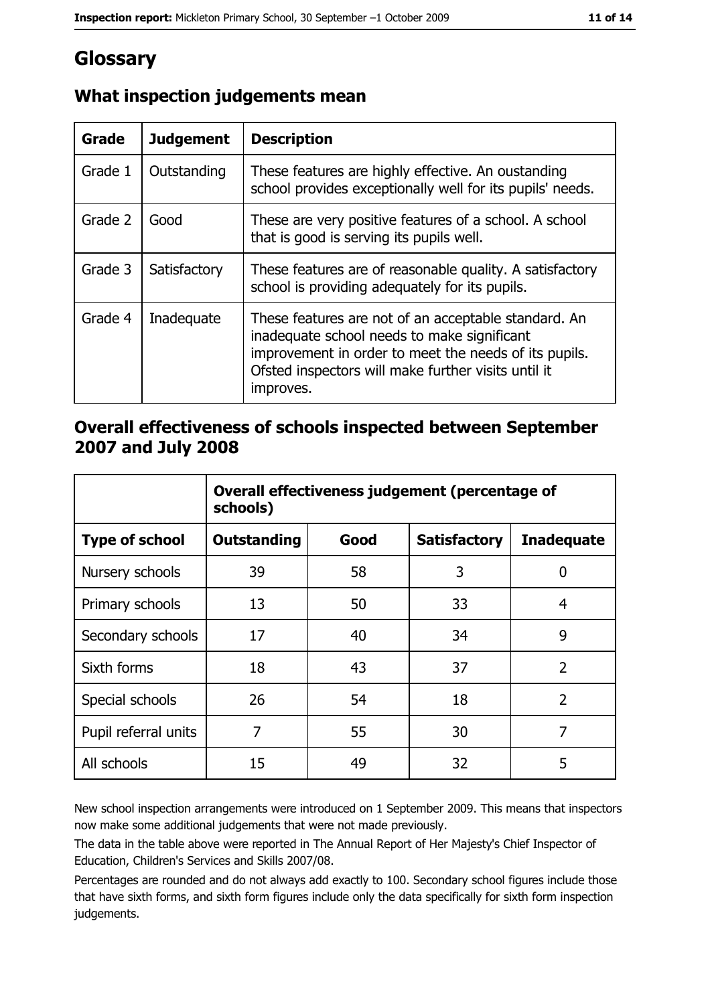# Glossary

| Grade   | <b>Judgement</b> | <b>Description</b>                                                                                                                                                                                                               |  |
|---------|------------------|----------------------------------------------------------------------------------------------------------------------------------------------------------------------------------------------------------------------------------|--|
| Grade 1 | Outstanding      | These features are highly effective. An oustanding<br>school provides exceptionally well for its pupils' needs.                                                                                                                  |  |
| Grade 2 | Good             | These are very positive features of a school. A school<br>that is good is serving its pupils well.                                                                                                                               |  |
| Grade 3 | Satisfactory     | These features are of reasonable quality. A satisfactory<br>school is providing adequately for its pupils.                                                                                                                       |  |
| Grade 4 | Inadequate       | These features are not of an acceptable standard. An<br>inadequate school needs to make significant<br>improvement in order to meet the needs of its pupils.<br>Ofsted inspectors will make further visits until it<br>improves. |  |

## What inspection judgements mean

## Overall effectiveness of schools inspected between September 2007 and July 2008

|                       | Overall effectiveness judgement (percentage of<br>schools) |      |                     |                   |
|-----------------------|------------------------------------------------------------|------|---------------------|-------------------|
| <b>Type of school</b> | <b>Outstanding</b>                                         | Good | <b>Satisfactory</b> | <b>Inadequate</b> |
| Nursery schools       | 39                                                         | 58   | 3                   | 0                 |
| Primary schools       | 13                                                         | 50   | 33                  | 4                 |
| Secondary schools     | 17                                                         | 40   | 34                  | 9                 |
| Sixth forms           | 18                                                         | 43   | 37                  | $\overline{2}$    |
| Special schools       | 26                                                         | 54   | 18                  | $\overline{2}$    |
| Pupil referral units  | 7                                                          | 55   | 30                  | 7                 |
| All schools           | 15                                                         | 49   | 32                  | 5                 |

New school inspection arrangements were introduced on 1 September 2009. This means that inspectors now make some additional judgements that were not made previously.

The data in the table above were reported in The Annual Report of Her Majesty's Chief Inspector of Education, Children's Services and Skills 2007/08.

Percentages are rounded and do not always add exactly to 100. Secondary school figures include those that have sixth forms, and sixth form figures include only the data specifically for sixth form inspection judgements.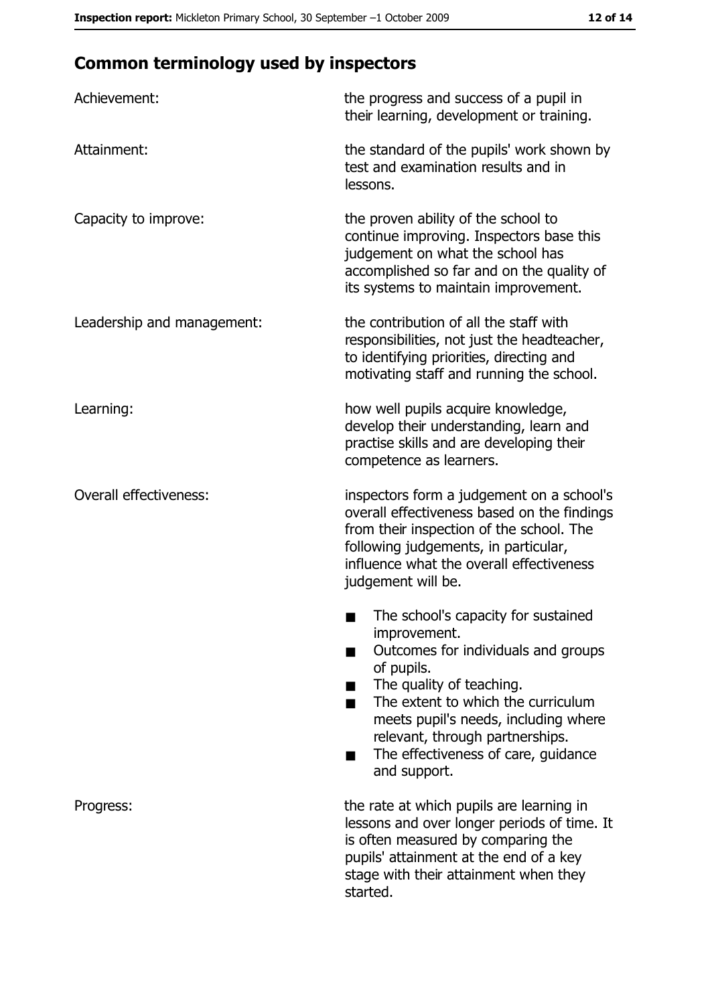## **Common terminology used by inspectors**

| Achievement:                  | the progress and success of a pupil in<br>their learning, development or training.                                                                                                                                                                                                                           |
|-------------------------------|--------------------------------------------------------------------------------------------------------------------------------------------------------------------------------------------------------------------------------------------------------------------------------------------------------------|
| Attainment:                   | the standard of the pupils' work shown by<br>test and examination results and in<br>lessons.                                                                                                                                                                                                                 |
| Capacity to improve:          | the proven ability of the school to<br>continue improving. Inspectors base this<br>judgement on what the school has<br>accomplished so far and on the quality of<br>its systems to maintain improvement.                                                                                                     |
| Leadership and management:    | the contribution of all the staff with<br>responsibilities, not just the headteacher,<br>to identifying priorities, directing and<br>motivating staff and running the school.                                                                                                                                |
| Learning:                     | how well pupils acquire knowledge,<br>develop their understanding, learn and<br>practise skills and are developing their<br>competence as learners.                                                                                                                                                          |
| <b>Overall effectiveness:</b> | inspectors form a judgement on a school's<br>overall effectiveness based on the findings<br>from their inspection of the school. The<br>following judgements, in particular,<br>influence what the overall effectiveness<br>judgement will be.                                                               |
|                               | The school's capacity for sustained<br>improvement.<br>Outcomes for individuals and groups<br>of pupils.<br>The quality of teaching.<br>The extent to which the curriculum<br>meets pupil's needs, including where<br>relevant, through partnerships.<br>The effectiveness of care, guidance<br>and support. |
| Progress:                     | the rate at which pupils are learning in<br>lessons and over longer periods of time. It<br>is often measured by comparing the<br>pupils' attainment at the end of a key<br>stage with their attainment when they<br>started.                                                                                 |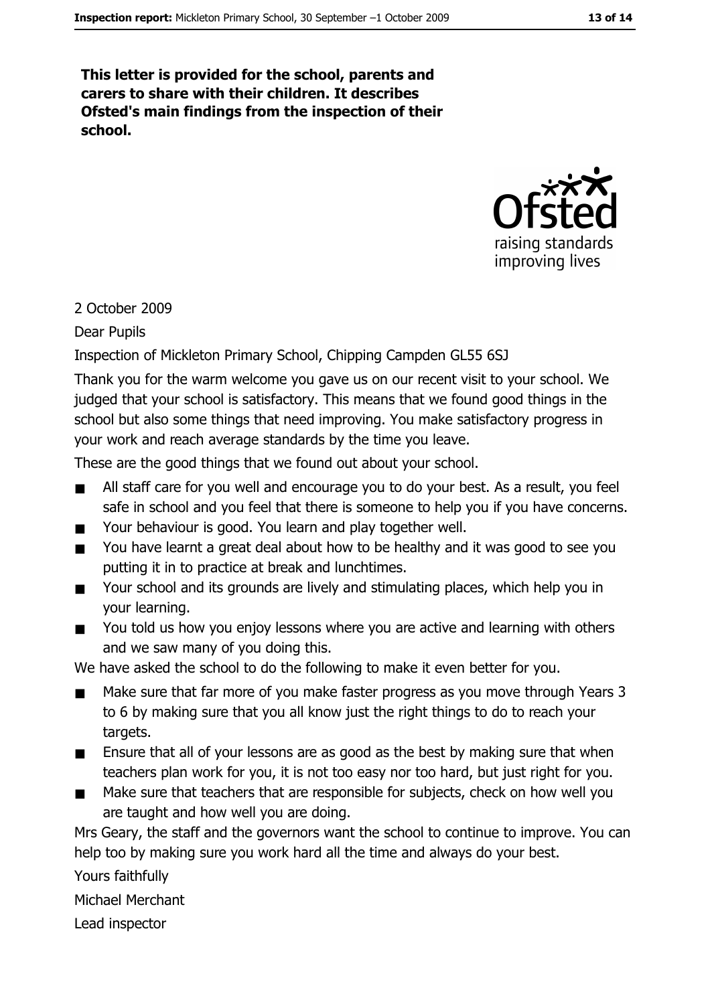This letter is provided for the school, parents and carers to share with their children. It describes Ofsted's main findings from the inspection of their school.



#### 2 October 2009

**Dear Pupils** 

Inspection of Mickleton Primary School, Chipping Campden GL55 6SJ

Thank you for the warm welcome you gave us on our recent visit to your school. We judged that your school is satisfactory. This means that we found good things in the school but also some things that need improving. You make satisfactory progress in your work and reach average standards by the time you leave.

These are the good things that we found out about your school.

- All staff care for you well and encourage you to do your best. As a result, you feel  $\blacksquare$ safe in school and you feel that there is someone to help you if you have concerns.
- $\blacksquare$ Your behaviour is good. You learn and play together well.
- You have learnt a great deal about how to be healthy and it was good to see you  $\blacksquare$ putting it in to practice at break and lunchtimes.
- $\blacksquare$ Your school and its grounds are lively and stimulating places, which help you in vour learning.
- You told us how you enjoy lessons where you are active and learning with others  $\blacksquare$ and we saw many of you doing this.

We have asked the school to do the following to make it even better for you.

- Make sure that far more of you make faster progress as you move through Years 3  $\blacksquare$ to 6 by making sure that you all know just the right things to do to reach your targets.
- Ensure that all of your lessons are as good as the best by making sure that when  $\blacksquare$ teachers plan work for you, it is not too easy nor too hard, but just right for you.
- Make sure that teachers that are responsible for subjects, check on how well you are taught and how well you are doing.

Mrs Geary, the staff and the governors want the school to continue to improve. You can help too by making sure you work hard all the time and always do your best.

Yours faithfully

Michael Merchant

Lead inspector